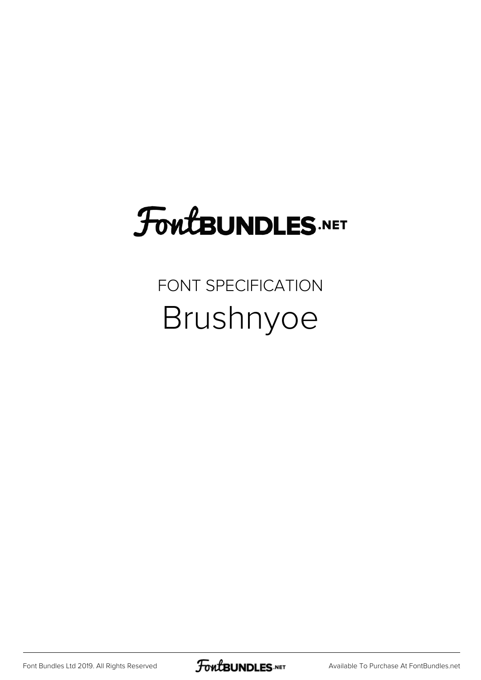## **FoutBUNDLES.NET**

## FONT SPECIFICATION Brushnyoe

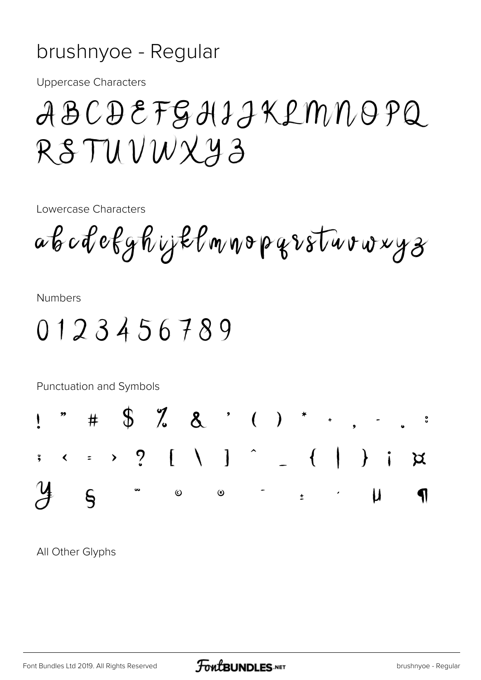## brushnyoe - Regular

**Uppercase Characters** 

## ABCDEFGHIJKLMNOPQ RSTUVWXY3

Lowercase Characters

ab cdefyhijklmnopqrsturvryz

**Numbers** 

0123456789



All Other Glyphs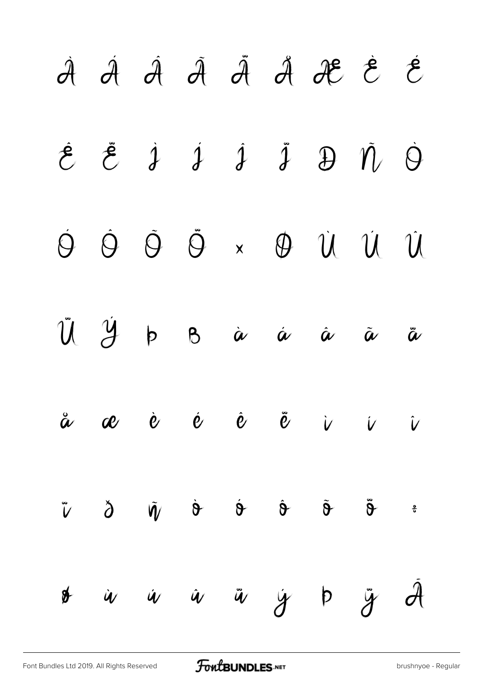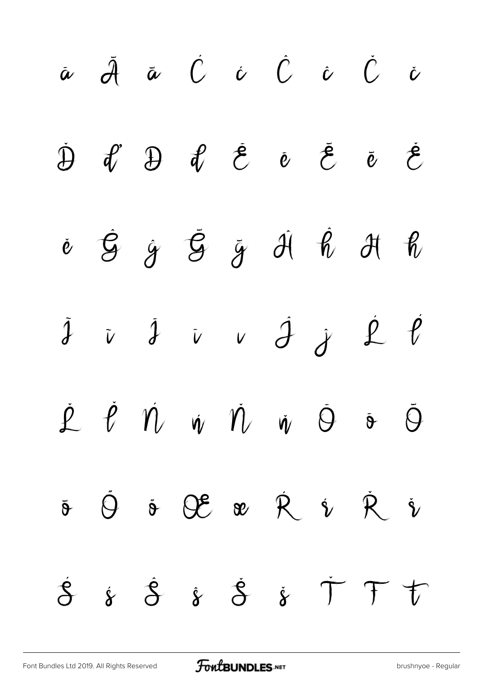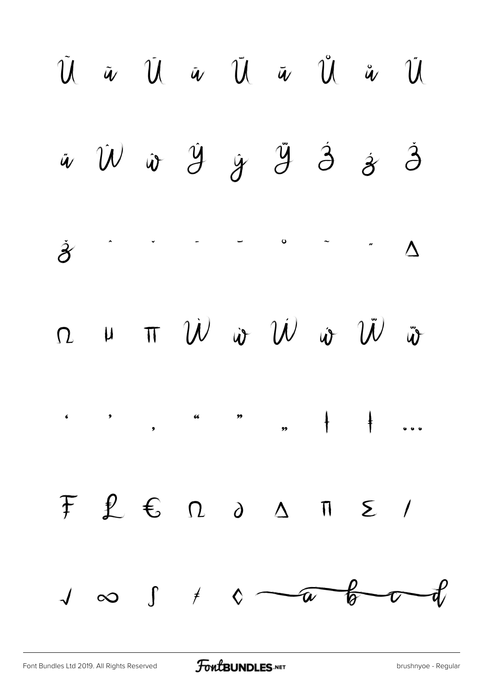